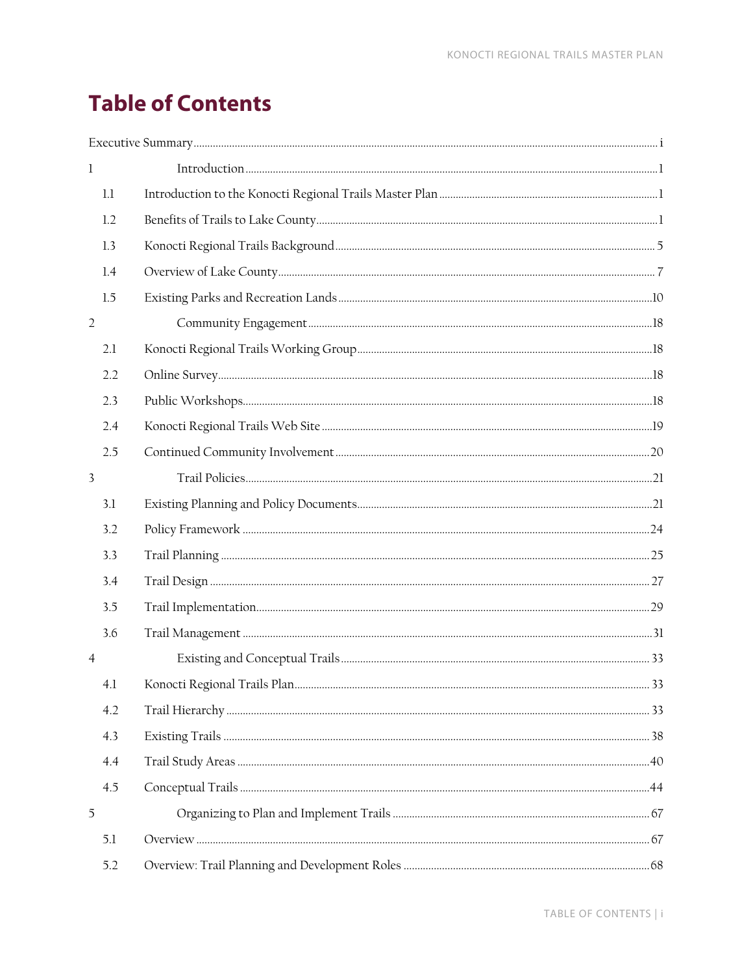## **Table of Contents**

| $\mathbf{1}$   |  |
|----------------|--|
| 1.1            |  |
| 1.2            |  |
| 1.3            |  |
| 1.4            |  |
| 1.5            |  |
| $\overline{2}$ |  |
| 2.1            |  |
| 2.2            |  |
| 2.3            |  |
| 2.4            |  |
| 2.5            |  |
| $\mathbf{3}$   |  |
| 3.1            |  |
| 3.2            |  |
| 3.3            |  |
| 3.4            |  |
| 3.5            |  |
| 3.6            |  |
| $\overline{4}$ |  |
| 4.1            |  |
| 4.2            |  |
| 4.3            |  |
| 4.4            |  |
| 4.5            |  |
| 5              |  |
| 5.1            |  |
| 5.2            |  |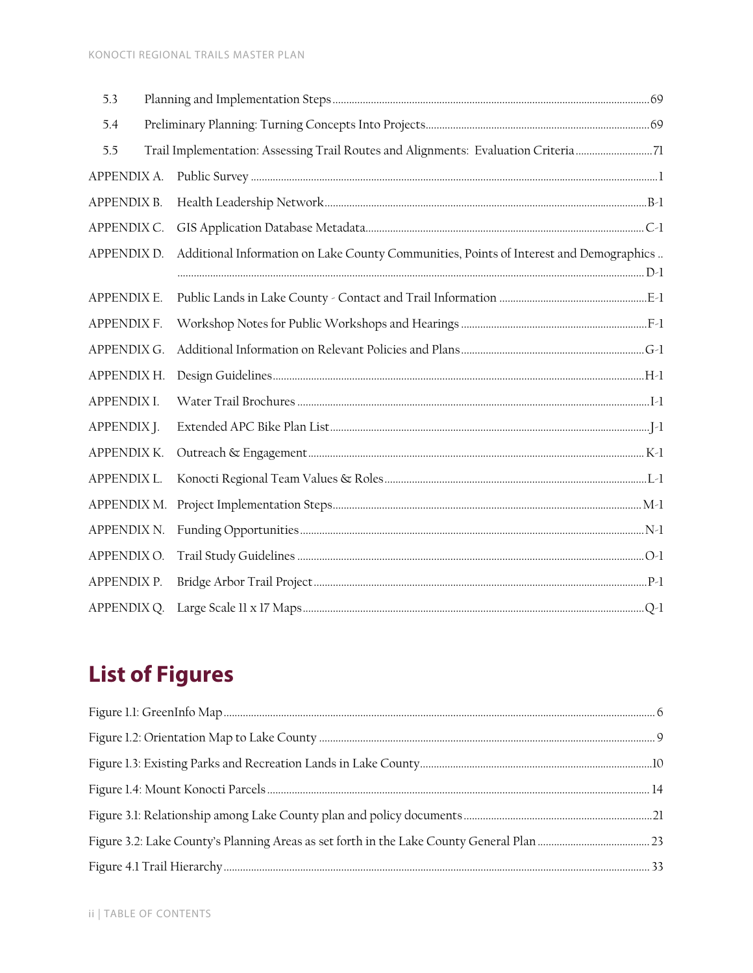| 5.3                |                                                                                        |  |
|--------------------|----------------------------------------------------------------------------------------|--|
| 5.4                |                                                                                        |  |
| 5.5                | Trail Implementation: Assessing Trail Routes and Alignments: Evaluation Criteria 71    |  |
| APPENDIX A.        |                                                                                        |  |
| APPENDIX B.        |                                                                                        |  |
| APPENDIX C.        |                                                                                        |  |
| APPENDIX D.        | Additional Information on Lake County Communities, Points of Interest and Demographics |  |
| APPENDIX E.        |                                                                                        |  |
| APPENDIX F.        |                                                                                        |  |
| APPENDIX G.        |                                                                                        |  |
| APPENDIX H.        |                                                                                        |  |
| APPENDIX I.        |                                                                                        |  |
| APPENDIX J.        |                                                                                        |  |
| APPENDIX K.        |                                                                                        |  |
| <b>APPENDIX L.</b> |                                                                                        |  |
| APPENDIX M.        |                                                                                        |  |
| APPENDIX N.        |                                                                                        |  |
| APPENDIX O.        |                                                                                        |  |
| APPENDIX P.        |                                                                                        |  |
| APPENDIX Q.        |                                                                                        |  |
|                    |                                                                                        |  |

## **List of Figures**